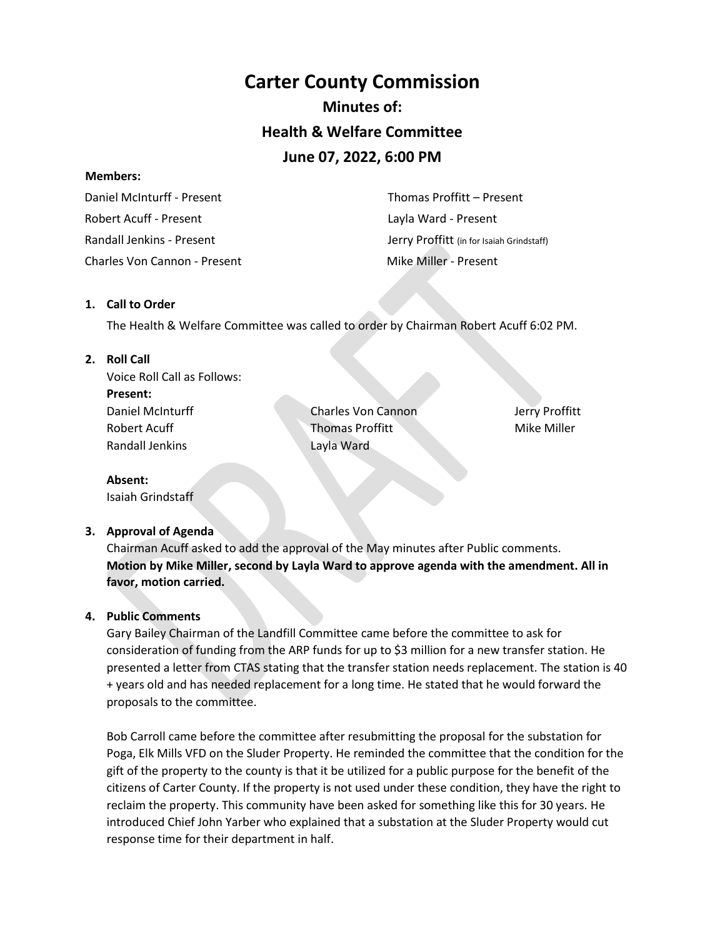# **Carter County Commission Minutes of: Health & Welfare Committee June 07, 2022, 6:00 PM**

#### **Members:**

 Daniel McInturff - Present Robert Acuff - Present Randall Jenkins - Present Charles Von Cannon - Present Mike Miller - Present

 Thomas Proffitt – Present Layla Ward - Present Jerry Proffitt (in for Isaiah Grindstaff)

## **1. Call to Order**

The Health & Welfare Committee was called to order by Chairman Robert Acuff 6:02 PM.

## **2. Roll Call**

Voice Roll Call as Follows: **Present:** Daniel McInturff Robert Acuff Randall Jenkins

Charles Von Cannon Thomas Proffitt Layla Ward

Jerry Proffitt Mike Miller

**Absent:** Isaiah Grindstaff

## **3. Approval of Agenda**

Chairman Acuff asked to add the approval of the May minutes after Public comments. **Motion by Mike Miller, second by Layla Ward to approve agenda with the amendment. All in favor, motion carried.** 

## **4. Public Comments**

Gary Bailey Chairman of the Landfill Committee came before the committee to ask for consideration of funding from the ARP funds for up to \$3 million for a new transfer station. He presented a letter from CTAS stating that the transfer station needs replacement. The station is 40 + years old and has needed replacement for a long time. He stated that he would forward the proposals to the committee.

Bob Carroll came before the committee after resubmitting the proposal for the substation for Poga, Elk Mills VFD on the Sluder Property. He reminded the committee that the condition for the gift of the property to the county is that it be utilized for a public purpose for the benefit of the citizens of Carter County. If the property is not used under these condition, they have the right to reclaim the property. This community have been asked for something like this for 30 years. He introduced Chief John Yarber who explained that a substation at the Sluder Property would cut response time for their department in half.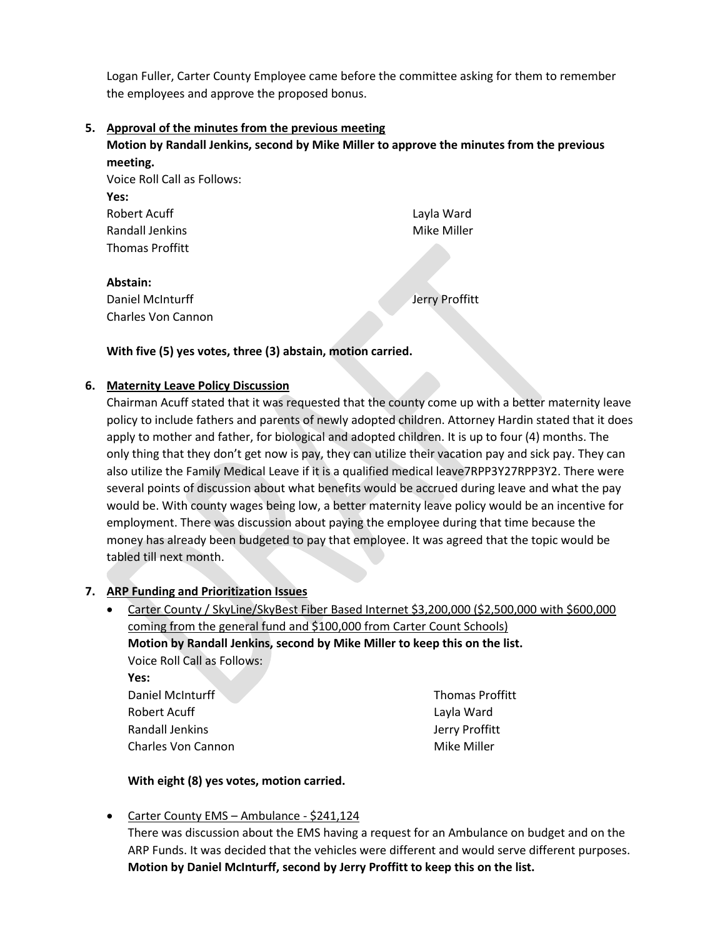Logan Fuller, Carter County Employee came before the committee asking for them to remember the employees and approve the proposed bonus.

**5. Approval of the minutes from the previous meeting Motion by Randall Jenkins, second by Mike Miller to approve the minutes from the previous meeting.**  Voice Roll Call as Follows: **Yes:** Robert Acuff Randall Jenkins Thomas Proffitt Layla Ward Mike Miller **Abstain:** Daniel McInturff Charles Von Cannon Jerry Proffitt

**With five (5) yes votes, three (3) abstain, motion carried.** 

## **6. Maternity Leave Policy Discussion**

Chairman Acuff stated that it was requested that the county come up with a better maternity leave policy to include fathers and parents of newly adopted children. Attorney Hardin stated that it does apply to mother and father, for biological and adopted children. It is up to four (4) months. The only thing that they don't get now is pay, they can utilize their vacation pay and sick pay. They can also utilize the Family Medical Leave if it is a qualified medical leave7RPP3Y27RPP3Y2. There were several points of discussion about what benefits would be accrued during leave and what the pay would be. With county wages being low, a better maternity leave policy would be an incentive for employment. There was discussion about paying the employee during that time because the money has already been budgeted to pay that employee. It was agreed that the topic would be tabled till next month.

#### **7. ARP Funding and Prioritization Issues**

• Carter County / SkyLine/SkyBest Fiber Based Internet \$3,200,000 (\$2,500,000 with \$600,000 coming from the general fund and \$100,000 from Carter Count Schools) **Motion by Randall Jenkins, second by Mike Miller to keep this on the list.**  Voice Roll Call as Follows: **Yes:** Daniel McInturff Thomas Proffitt

Robert Acuff Randall Jenkins Charles Von Cannon Layla Ward Jerry Proffitt Mike Miller

#### **With eight (8) yes votes, motion carried.**

• Carter County EMS – Ambulance - \$241,124

There was discussion about the EMS having a request for an Ambulance on budget and on the ARP Funds. It was decided that the vehicles were different and would serve different purposes. **Motion by Daniel McInturff, second by Jerry Proffitt to keep this on the list.**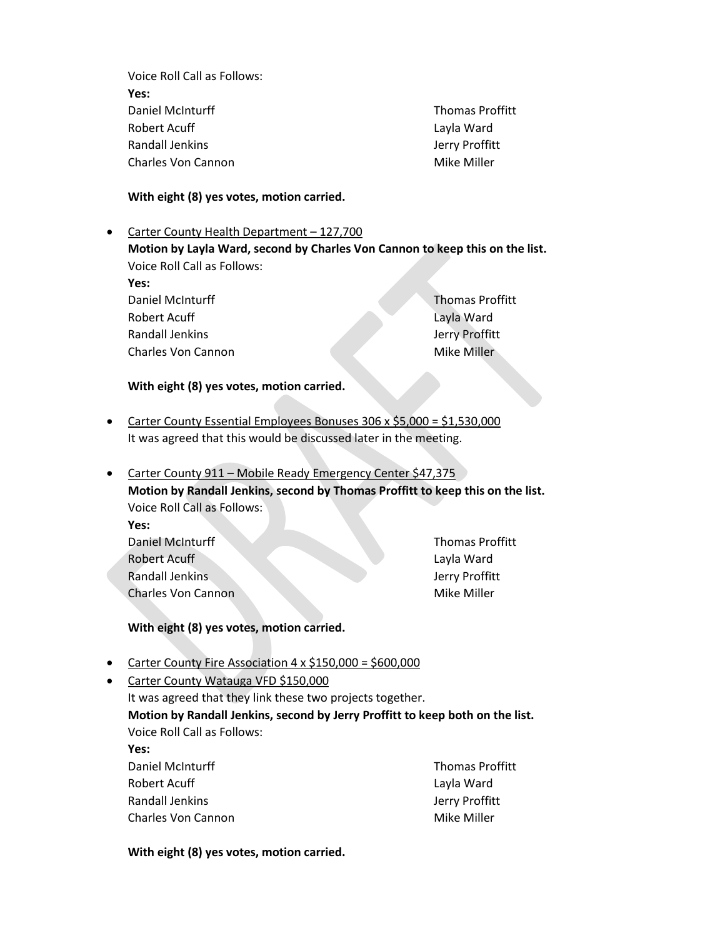Voice Roll Call as Follows: **Yes:** Daniel McInturff Robert Acuff Randall Jenkins Charles Von Cannon

Thomas Proffitt Layla Ward Jerry Proffitt Mike Miller

#### **With eight (8) yes votes, motion carried.**

• Carter County Health Department – 127,700

**Motion by Layla Ward, second by Charles Von Cannon to keep this on the list.**  Voice Roll Call as Follows:

**Yes:** Daniel McInturff Robert Acuff Randall Jenkins

Charles Von Cannon

Charles Von Cannon

Thomas Proffitt Layla Ward Jerry Proffitt Mike Miller

Mike Miller

#### **With eight (8) yes votes, motion carried.**

- Carter County Essential Employees Bonuses 306 x \$5,000 = \$1,530,000 It was agreed that this would be discussed later in the meeting.
- Carter County 911 Mobile Ready Emergency Center \$47,375 **Motion by Randall Jenkins, second by Thomas Proffitt to keep this on the list.**  Voice Roll Call as Follows: **Yes:** Daniel McInturff Robert Acuff Randall Jenkins Thomas Proffitt Layla Ward Jerry Proffitt

# **With eight (8) yes votes, motion carried.**

- Carter County Fire Association 4 x \$150,000 = \$600,000
- Carter County Watauga VFD \$150,000 It was agreed that they link these two projects together. **Motion by Randall Jenkins, second by Jerry Proffitt to keep both on the list.**  Voice Roll Call as Follows: **Yes:** Daniel McInturff Thomas Proffitt

| Layla Ward     |
|----------------|
| Jerry Proffitt |
| Mike Miller    |
|                |

#### **With eight (8) yes votes, motion carried.**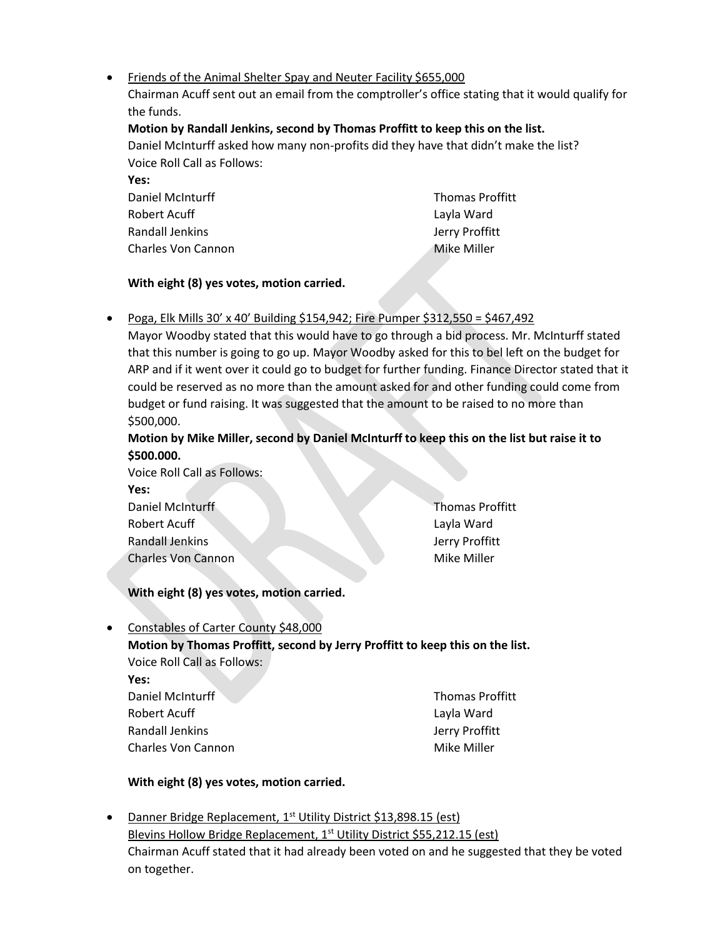• Friends of the Animal Shelter Spay and Neuter Facility \$655,000

Chairman Acuff sent out an email from the comptroller's office stating that it would qualify for the funds.

# **Motion by Randall Jenkins, second by Thomas Proffitt to keep this on the list.**

Daniel McInturff asked how many non-profits did they have that didn't make the list? Voice Roll Call as Follows:

| .                  |                        |
|--------------------|------------------------|
| Daniel McInturff   | <b>Thomas Proffitt</b> |
| Robert Acuff       | Layla Ward             |
| Randall Jenkins    | Jerry Proffitt         |
| Charles Von Cannon | Mike Miller            |
|                    |                        |

## **With eight (8) yes votes, motion carried.**

**Yes:**

## • Poga, Elk Mills 30' x 40' Building \$154,942; Fire Pumper \$312,550 = \$467,492

Mayor Woodby stated that this would have to go through a bid process. Mr. McInturff stated that this number is going to go up. Mayor Woodby asked for this to bel left on the budget for ARP and if it went over it could go to budget for further funding. Finance Director stated that it could be reserved as no more than the amount asked for and other funding could come from budget or fund raising. It was suggested that the amount to be raised to no more than \$500,000.

## **Motion by Mike Miller, second by Daniel McInturff to keep this on the list but raise it to \$500.000.**

Voice Roll Call as Follows: **Yes:** Daniel McInturff Robert Acuff Randall Jenkins Charles Von Cannon

Thomas Proffitt Layla Ward Jerry Proffitt Mike Miller

# **With eight (8) yes votes, motion carried.**

• Constables of Carter County \$48,000

# **Motion by Thomas Proffitt, second by Jerry Proffitt to keep this on the list.**  Voice Roll Call as Follows:

**Yes:** Daniel McInturff Robert Acuff Randall Jenkins

Charles Von Cannon

Thomas Proffitt Layla Ward Jerry Proffitt Mike Miller

# **With eight (8) yes votes, motion carried.**

• Danner Bridge Replacement, 1<sup>st</sup> Utility District \$13,898.15 (est) Blevins Hollow Bridge Replacement, 1<sup>st</sup> Utility District \$55,212.15 (est) Chairman Acuff stated that it had already been voted on and he suggested that they be voted on together.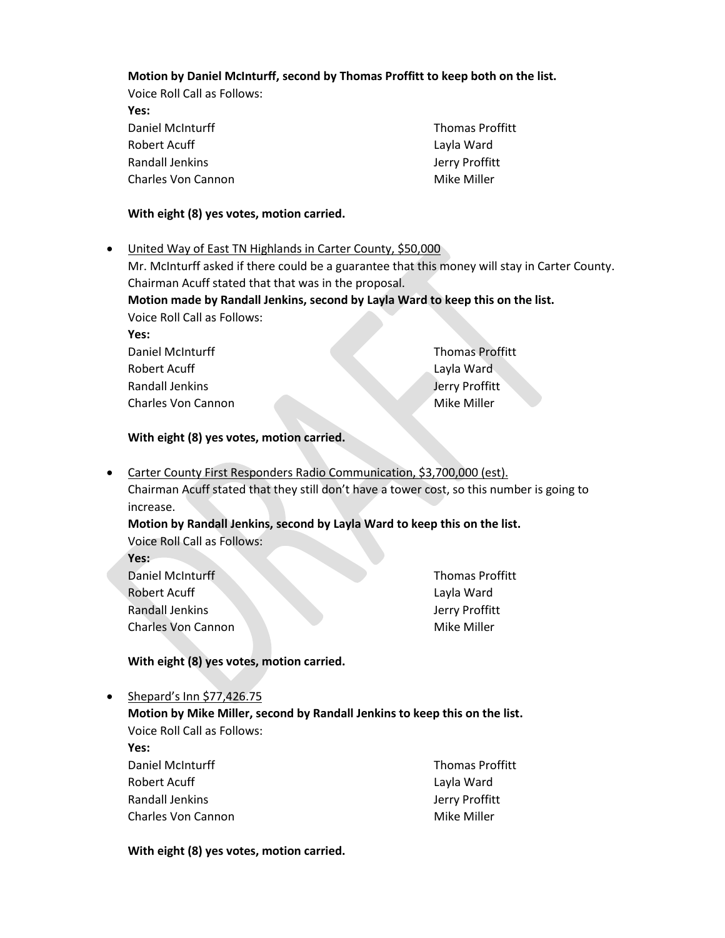### **Motion by Daniel McInturff, second by Thomas Proffitt to keep both on the list.**

Voice Roll Call as Follows:

**Yes:** Daniel McInturff Robert Acuff Randall Jenkins Charles Von Cannon

Charles Von Cannon

Thomas Proffitt Layla Ward Jerry Proffitt Mike Miller

### **With eight (8) yes votes, motion carried.**

• United Way of East TN Highlands in Carter County, \$50,000 Mr. McInturff asked if there could be a guarantee that this money will stay in Carter County. Chairman Acuff stated that that was in the proposal. **Motion made by Randall Jenkins, second by Layla Ward to keep this on the list.**  Voice Roll Call as Follows: **Yes:** Daniel McInturff Robert Acuff Randall Jenkins Thomas Proffitt Layla Ward Jerry Proffitt Mike Miller

#### **With eight (8) yes votes, motion carried.**

• Carter County First Responders Radio Communication, \$3,700,000 (est). Chairman Acuff stated that they still don't have a tower cost, so this number is going to increase.

## **Motion by Randall Jenkins, second by Layla Ward to keep this on the list.**  Voice Roll Call as Follows:

**Yes:**

**Yes:**

| Daniel McInturff          | <b>Thomas Proffitt</b> |
|---------------------------|------------------------|
| Robert Acuff              | Layla Ward             |
| Randall Jenkins           | Jerry Proffitt         |
| <b>Charles Von Cannon</b> | Mike Miller            |

## **With eight (8) yes votes, motion carried.**

• Shepard's Inn \$77,426.75

**Motion by Mike Miller, second by Randall Jenkins to keep this on the list.** Voice Roll Call as Follows:

| <b>Thomas Proffitt</b> |
|------------------------|
| Layla Ward             |
| Jerry Proffitt         |
| Mike Miller            |
|                        |

#### **With eight (8) yes votes, motion carried.**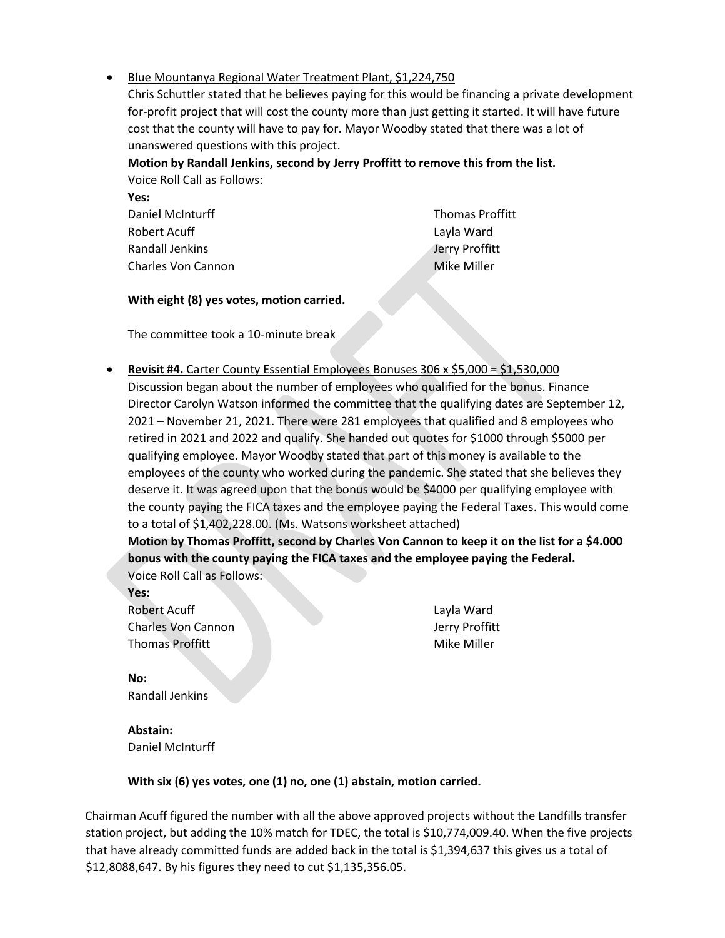## • Blue Mountanya Regional Water Treatment Plant, \$1,224,750

Chris Schuttler stated that he believes paying for this would be financing a private development for-profit project that will cost the county more than just getting it started. It will have future cost that the county will have to pay for. Mayor Woodby stated that there was a lot of unanswered questions with this project.

**Motion by Randall Jenkins, second by Jerry Proffitt to remove this from the list.** 

Voice Roll Call as Follows: **Yes:**

Daniel McInturff Robert Acuff Randall Jenkins Charles Von Cannon

Thomas Proffitt Layla Ward Jerry Proffitt Mike Miller

## **With eight (8) yes votes, motion carried.**

The committee took a 10-minute break

• **Revisit #4.** Carter County Essential Employees Bonuses 306 x \$5,000 = \$1,530,000 Discussion began about the number of employees who qualified for the bonus. Finance Director Carolyn Watson informed the committee that the qualifying dates are September 12, 2021 – November 21, 2021. There were 281 employees that qualified and 8 employees who retired in 2021 and 2022 and qualify. She handed out quotes for \$1000 through \$5000 per qualifying employee. Mayor Woodby stated that part of this money is available to the employees of the county who worked during the pandemic. She stated that she believes they deserve it. It was agreed upon that the bonus would be \$4000 per qualifying employee with the county paying the FICA taxes and the employee paying the Federal Taxes. This would come to a total of \$1,402,228.00. (Ms. Watsons worksheet attached)

**Motion by Thomas Proffitt, second by Charles Von Cannon to keep it on the list for a \$4.000 bonus with the county paying the FICA taxes and the employee paying the Federal.**  Voice Roll Call as Follows:

**Yes:** Robert Acuff Charles Von Cannon Thomas Proffitt

Layla Ward Jerry Proffitt Mike Miller

**No:** Randall Jenkins

**Abstain:** Daniel McInturff

## **With six (6) yes votes, one (1) no, one (1) abstain, motion carried.**

Chairman Acuff figured the number with all the above approved projects without the Landfills transfer station project, but adding the 10% match for TDEC, the total is \$10,774,009.40. When the five projects that have already committed funds are added back in the total is \$1,394,637 this gives us a total of \$12,8088,647. By his figures they need to cut \$1,135,356.05.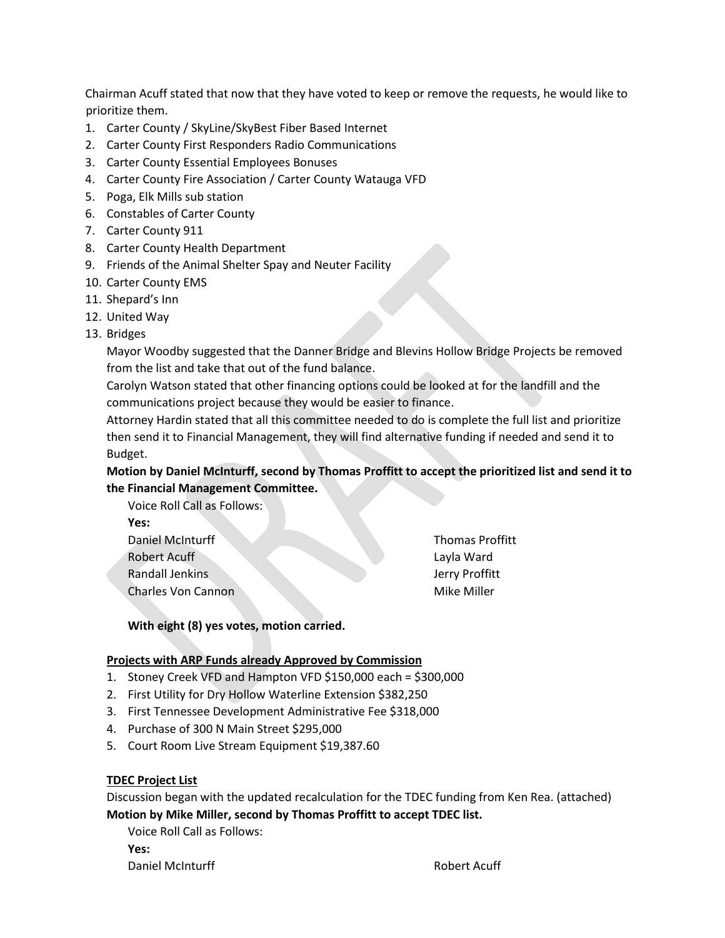Chairman Acuff stated that now that they have voted to keep or remove the requests, he would like to prioritize them.

- 1. Carter County / SkyLine/SkyBest Fiber Based Internet
- 2. Carter County First Responders Radio Communications
- 3. Carter County Essential Employees Bonuses
- 4. Carter County Fire Association / Carter County Watauga VFD
- 5. Poga, Elk Mills sub station
- 6. Constables of Carter County
- 7. Carter County 911
- 8. Carter County Health Department
- 9. Friends of the Animal Shelter Spay and Neuter Facility
- 10. Carter County EMS
- 11. Shepard's Inn
- 12. United Way
- 13. Bridges

Mayor Woodby suggested that the Danner Bridge and Blevins Hollow Bridge Projects be removed from the list and take that out of the fund balance.

Carolyn Watson stated that other financing options could be looked at for the landfill and the communications project because they would be easier to finance.

Attorney Hardin stated that all this committee needed to do is complete the full list and prioritize then send it to Financial Management, they will find alternative funding if needed and send it to Budget.

**Motion by Daniel McInturff, second by Thomas Proffitt to accept the prioritized list and send it to the Financial Management Committee.** 

Voice Roll Call as Follows: **Yes:** Daniel McInturff Robert Acuff Randall Jenkins

Charles Von Cannon

Thomas Proffitt Layla Ward Jerry Proffitt Mike Miller

**With eight (8) yes votes, motion carried.** 

#### **Projects with ARP Funds already Approved by Commission**

- 1. Stoney Creek VFD and Hampton VFD \$150,000 each = \$300,000
- 2. First Utility for Dry Hollow Waterline Extension \$382,250
- 3. First Tennessee Development Administrative Fee \$318,000
- 4. Purchase of 300 N Main Street \$295,000
- 5. Court Room Live Stream Equipment \$19,387.60

#### **TDEC Project List**

Discussion began with the updated recalculation for the TDEC funding from Ken Rea. (attached) **Motion by Mike Miller, second by Thomas Proffitt to accept TDEC list.** 

Voice Roll Call as Follows:

**Yes:**

Daniel McInturff **Robert Acuff Robert Acuff**